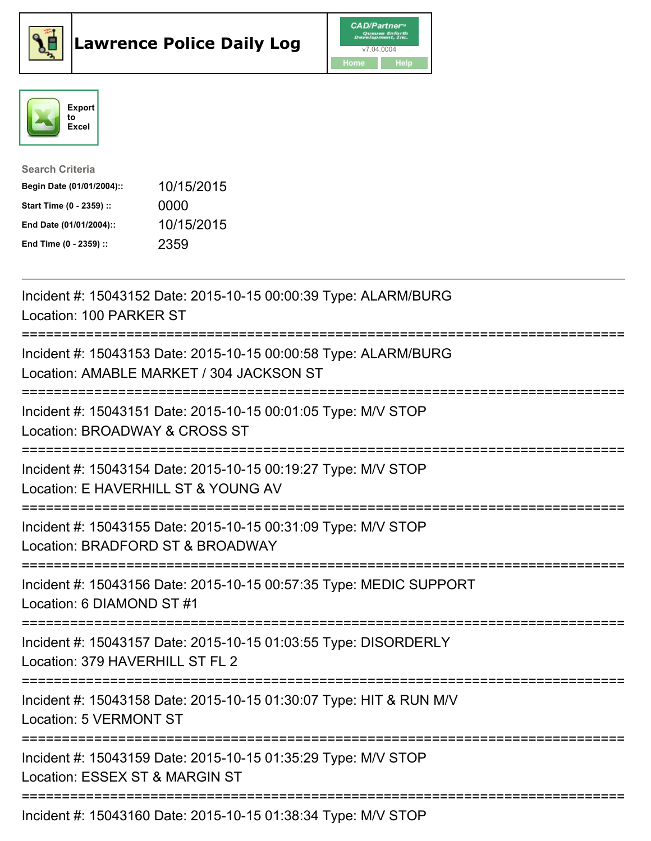





| <b>Search Criteria</b>    |            |
|---------------------------|------------|
| Begin Date (01/01/2004):: | 10/15/2015 |
| Start Time (0 - 2359) ::  | 0000       |
| End Date (01/01/2004)::   | 10/15/2015 |
| End Time (0 - 2359) ::    | 2359       |

| Incident #: 15043152 Date: 2015-10-15 00:00:39 Type: ALARM/BURG<br>Location: 100 PARKER ST                                   |
|------------------------------------------------------------------------------------------------------------------------------|
| Incident #: 15043153 Date: 2015-10-15 00:00:58 Type: ALARM/BURG<br>Location: AMABLE MARKET / 304 JACKSON ST<br>------------- |
| Incident #: 15043151 Date: 2015-10-15 00:01:05 Type: M/V STOP<br>Location: BROADWAY & CROSS ST                               |
| Incident #: 15043154 Date: 2015-10-15 00:19:27 Type: M/V STOP<br>Location: E HAVERHILL ST & YOUNG AV                         |
| Incident #: 15043155 Date: 2015-10-15 00:31:09 Type: M/V STOP<br>Location: BRADFORD ST & BROADWAY                            |
| Incident #: 15043156 Date: 2015-10-15 00:57:35 Type: MEDIC SUPPORT<br>Location: 6 DIAMOND ST #1<br>----------------------    |
| Incident #: 15043157 Date: 2015-10-15 01:03:55 Type: DISORDERLY<br>Location: 379 HAVERHILL ST FL 2                           |
| Incident #: 15043158 Date: 2015-10-15 01:30:07 Type: HIT & RUN M/V<br><b>Location: 5 VERMONT ST</b>                          |
| Incident #: 15043159 Date: 2015-10-15 01:35:29 Type: M/V STOP<br>Location: ESSEX ST & MARGIN ST                              |
| Incident #: 15043160 Date: 2015-10-15 01:38:34 Type: M/V STOP                                                                |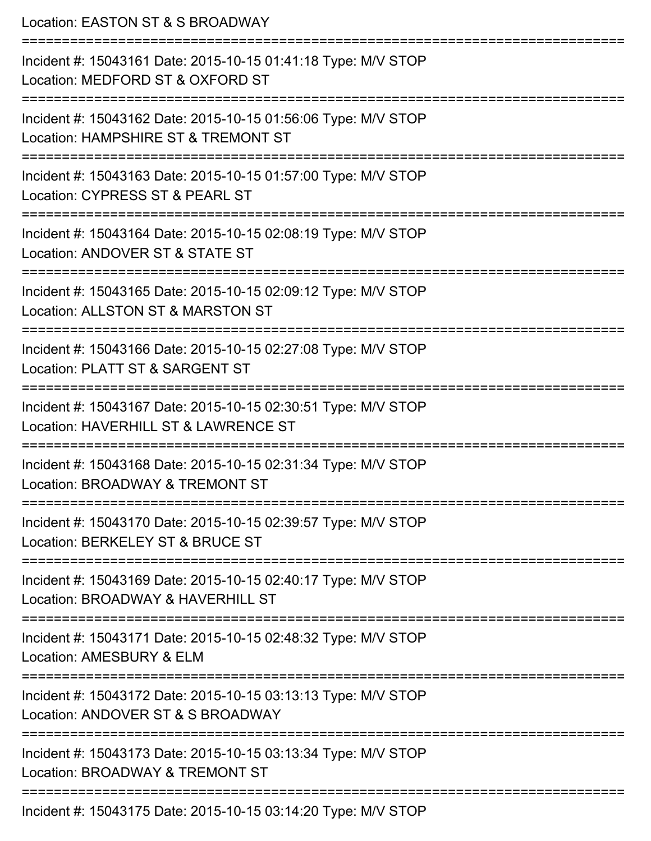| Location: EASTON ST & S BROADWAY<br>;======================<br>-----------------------------                                   |
|--------------------------------------------------------------------------------------------------------------------------------|
| Incident #: 15043161 Date: 2015-10-15 01:41:18 Type: M/V STOP<br>Location: MEDFORD ST & OXFORD ST<br>========================= |
| Incident #: 15043162 Date: 2015-10-15 01:56:06 Type: M/V STOP<br>Location: HAMPSHIRE ST & TREMONT ST                           |
| Incident #: 15043163 Date: 2015-10-15 01:57:00 Type: M/V STOP<br>Location: CYPRESS ST & PEARL ST                               |
| Incident #: 15043164 Date: 2015-10-15 02:08:19 Type: M/V STOP<br>Location: ANDOVER ST & STATE ST                               |
| Incident #: 15043165 Date: 2015-10-15 02:09:12 Type: M/V STOP<br>Location: ALLSTON ST & MARSTON ST<br>:======================  |
| Incident #: 15043166 Date: 2015-10-15 02:27:08 Type: M/V STOP<br>Location: PLATT ST & SARGENT ST                               |
| Incident #: 15043167 Date: 2015-10-15 02:30:51 Type: M/V STOP<br>Location: HAVERHILL ST & LAWRENCE ST                          |
| Incident #: 15043168 Date: 2015-10-15 02:31:34 Type: M/V STOP<br>Location: BROADWAY & TREMONT ST                               |
| Incident #: 15043170 Date: 2015-10-15 02:39:57 Type: M/V STOP<br>Location: BERKELEY ST & BRUCE ST                              |
| Incident #: 15043169 Date: 2015-10-15 02:40:17 Type: M/V STOP<br>Location: BROADWAY & HAVERHILL ST                             |
| Incident #: 15043171 Date: 2015-10-15 02:48:32 Type: M/V STOP<br>Location: AMESBURY & ELM                                      |
| Incident #: 15043172 Date: 2015-10-15 03:13:13 Type: M/V STOP<br>Location: ANDOVER ST & S BROADWAY                             |
| Incident #: 15043173 Date: 2015-10-15 03:13:34 Type: M/V STOP<br>Location: BROADWAY & TREMONT ST                               |
|                                                                                                                                |

Incident #: 15043175 Date: 2015-10-15 03:14:20 Type: M/V STOP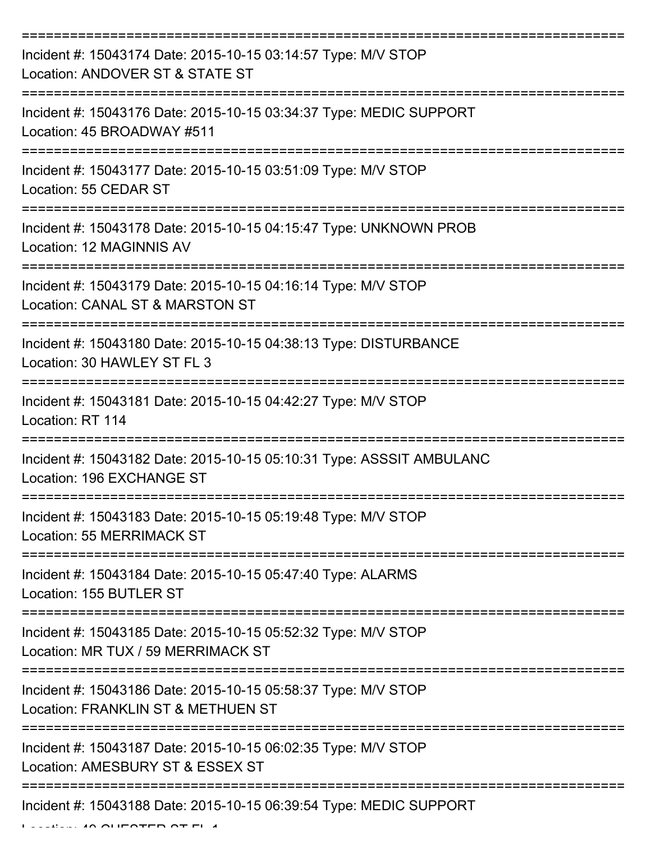| Incident #: 15043174 Date: 2015-10-15 03:14:57 Type: M/V STOP<br>Location: ANDOVER ST & STATE ST    |
|-----------------------------------------------------------------------------------------------------|
| Incident #: 15043176 Date: 2015-10-15 03:34:37 Type: MEDIC SUPPORT<br>Location: 45 BROADWAY #511    |
| Incident #: 15043177 Date: 2015-10-15 03:51:09 Type: M/V STOP<br>Location: 55 CEDAR ST              |
| Incident #: 15043178 Date: 2015-10-15 04:15:47 Type: UNKNOWN PROB<br>Location: 12 MAGINNIS AV       |
| Incident #: 15043179 Date: 2015-10-15 04:16:14 Type: M/V STOP<br>Location: CANAL ST & MARSTON ST    |
| Incident #: 15043180 Date: 2015-10-15 04:38:13 Type: DISTURBANCE<br>Location: 30 HAWLEY ST FL 3     |
| Incident #: 15043181 Date: 2015-10-15 04:42:27 Type: M/V STOP<br>Location: RT 114                   |
| Incident #: 15043182 Date: 2015-10-15 05:10:31 Type: ASSSIT AMBULANC<br>Location: 196 EXCHANGE ST   |
| Incident #: 15043183 Date: 2015-10-15 05:19:48 Type: M/V STOP<br>Location: 55 MERRIMACK ST          |
| Incident #: 15043184 Date: 2015-10-15 05:47:40 Type: ALARMS<br>Location: 155 BUTLER ST              |
| Incident #: 15043185 Date: 2015-10-15 05:52:32 Type: M/V STOP<br>Location: MR TUX / 59 MERRIMACK ST |
| Incident #: 15043186 Date: 2015-10-15 05:58:37 Type: M/V STOP<br>Location: FRANKLIN ST & METHUEN ST |
| Incident #: 15043187 Date: 2015-10-15 06:02:35 Type: M/V STOP<br>Location: AMESBURY ST & ESSEX ST   |
| Incident #: 15043188 Date: 2015-10-15 06:39:54 Type: MEDIC SUPPORT                                  |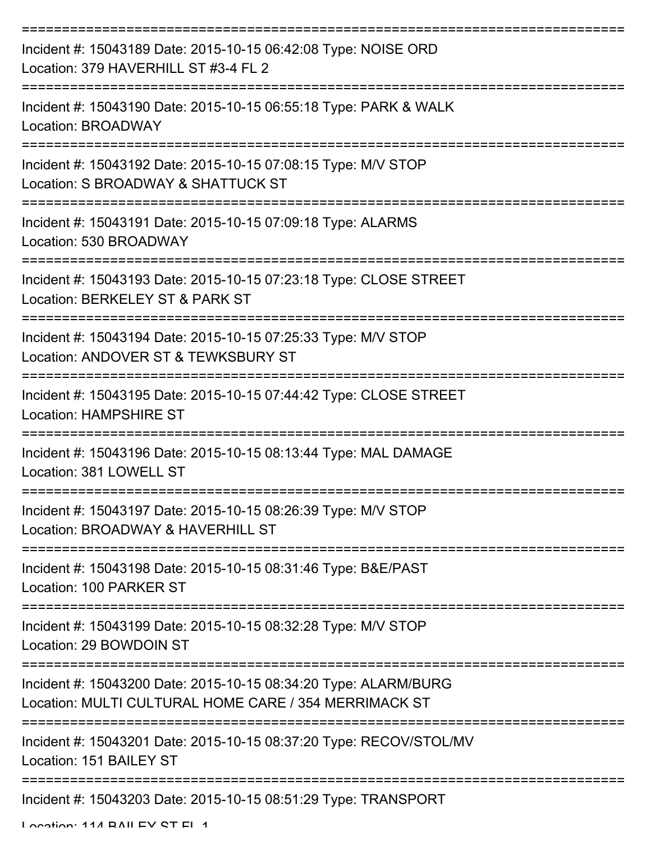| Incident #: 15043189 Date: 2015-10-15 06:42:08 Type: NOISE ORD<br>Location: 379 HAVERHILL ST #3-4 FL 2                   |
|--------------------------------------------------------------------------------------------------------------------------|
| Incident #: 15043190 Date: 2015-10-15 06:55:18 Type: PARK & WALK<br>Location: BROADWAY                                   |
| Incident #: 15043192 Date: 2015-10-15 07:08:15 Type: M/V STOP<br>Location: S BROADWAY & SHATTUCK ST                      |
| Incident #: 15043191 Date: 2015-10-15 07:09:18 Type: ALARMS<br>Location: 530 BROADWAY                                    |
| Incident #: 15043193 Date: 2015-10-15 07:23:18 Type: CLOSE STREET<br>Location: BERKELEY ST & PARK ST                     |
| Incident #: 15043194 Date: 2015-10-15 07:25:33 Type: M/V STOP<br>Location: ANDOVER ST & TEWKSBURY ST                     |
| Incident #: 15043195 Date: 2015-10-15 07:44:42 Type: CLOSE STREET<br><b>Location: HAMPSHIRE ST</b>                       |
| Incident #: 15043196 Date: 2015-10-15 08:13:44 Type: MAL DAMAGE<br>Location: 381 LOWELL ST                               |
| Incident #: 15043197 Date: 2015-10-15 08:26:39 Type: M/V STOP<br>Location: BROADWAY & HAVERHILL ST                       |
| Incident #: 15043198 Date: 2015-10-15 08:31:46 Type: B&E/PAST<br>Location: 100 PARKER ST                                 |
| Incident #: 15043199 Date: 2015-10-15 08:32:28 Type: M/V STOP<br>Location: 29 BOWDOIN ST                                 |
| Incident #: 15043200 Date: 2015-10-15 08:34:20 Type: ALARM/BURG<br>Location: MULTI CULTURAL HOME CARE / 354 MERRIMACK ST |
| Incident #: 15043201 Date: 2015-10-15 08:37:20 Type: RECOV/STOL/MV<br>Location: 151 BAILEY ST                            |
| Incident #: 15043203 Date: 2015-10-15 08:51:29 Type: TRANSPORT                                                           |

Location: 114 BAILEV ST EL 1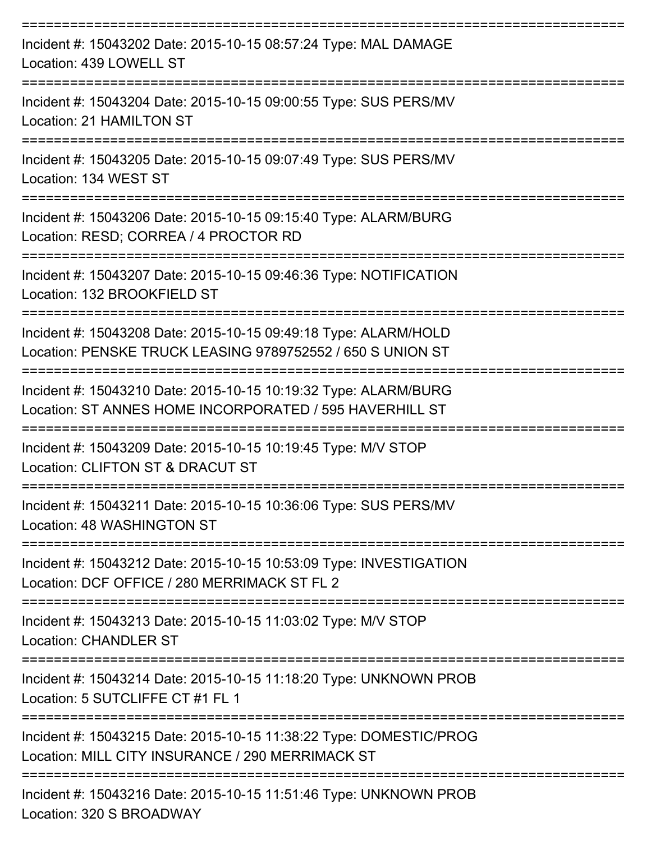| Incident #: 15043202 Date: 2015-10-15 08:57:24 Type: MAL DAMAGE<br>Location: 439 LOWELL ST                                    |
|-------------------------------------------------------------------------------------------------------------------------------|
| Incident #: 15043204 Date: 2015-10-15 09:00:55 Type: SUS PERS/MV<br>Location: 21 HAMILTON ST                                  |
| Incident #: 15043205 Date: 2015-10-15 09:07:49 Type: SUS PERS/MV<br>Location: 134 WEST ST                                     |
| Incident #: 15043206 Date: 2015-10-15 09:15:40 Type: ALARM/BURG<br>Location: RESD; CORREA / 4 PROCTOR RD                      |
| Incident #: 15043207 Date: 2015-10-15 09:46:36 Type: NOTIFICATION<br>Location: 132 BROOKFIELD ST                              |
| Incident #: 15043208 Date: 2015-10-15 09:49:18 Type: ALARM/HOLD<br>Location: PENSKE TRUCK LEASING 9789752552 / 650 S UNION ST |
| Incident #: 15043210 Date: 2015-10-15 10:19:32 Type: ALARM/BURG<br>Location: ST ANNES HOME INCORPORATED / 595 HAVERHILL ST    |
| Incident #: 15043209 Date: 2015-10-15 10:19:45 Type: M/V STOP<br>Location: CLIFTON ST & DRACUT ST                             |
| Incident #: 15043211 Date: 2015-10-15 10:36:06 Type: SUS PERS/MV<br>Location: 48 WASHINGTON ST                                |
| Incident #: 15043212 Date: 2015-10-15 10:53:09 Type: INVESTIGATION<br>Location: DCF OFFICE / 280 MERRIMACK ST FL 2            |
| Incident #: 15043213 Date: 2015-10-15 11:03:02 Type: M/V STOP<br><b>Location: CHANDLER ST</b>                                 |
| Incident #: 15043214 Date: 2015-10-15 11:18:20 Type: UNKNOWN PROB<br>Location: 5 SUTCLIFFE CT #1 FL 1                         |
| Incident #: 15043215 Date: 2015-10-15 11:38:22 Type: DOMESTIC/PROG<br>Location: MILL CITY INSURANCE / 290 MERRIMACK ST        |
| Incident #: 15043216 Date: 2015-10-15 11:51:46 Type: UNKNOWN PROB<br>Location: 320 S BROADWAY                                 |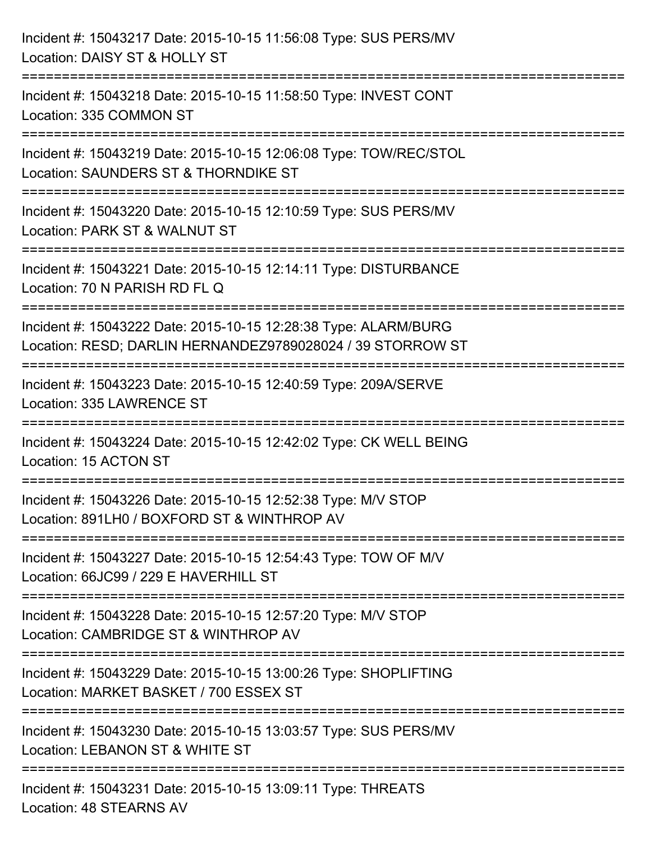| Incident #: 15043217 Date: 2015-10-15 11:56:08 Type: SUS PERS/MV<br>Location: DAISY ST & HOLLY ST                                              |
|------------------------------------------------------------------------------------------------------------------------------------------------|
| Incident #: 15043218 Date: 2015-10-15 11:58:50 Type: INVEST CONT<br>Location: 335 COMMON ST                                                    |
| Incident #: 15043219 Date: 2015-10-15 12:06:08 Type: TOW/REC/STOL<br>Location: SAUNDERS ST & THORNDIKE ST<br>=============================     |
| Incident #: 15043220 Date: 2015-10-15 12:10:59 Type: SUS PERS/MV<br>Location: PARK ST & WALNUT ST                                              |
| Incident #: 15043221 Date: 2015-10-15 12:14:11 Type: DISTURBANCE<br>Location: 70 N PARISH RD FL Q<br>:=================================        |
| Incident #: 15043222 Date: 2015-10-15 12:28:38 Type: ALARM/BURG<br>Location: RESD; DARLIN HERNANDEZ9789028024 / 39 STORROW ST                  |
| Incident #: 15043223 Date: 2015-10-15 12:40:59 Type: 209A/SERVE<br>Location: 335 LAWRENCE ST                                                   |
| Incident #: 15043224 Date: 2015-10-15 12:42:02 Type: CK WELL BEING<br>Location: 15 ACTON ST                                                    |
| Incident #: 15043226 Date: 2015-10-15 12:52:38 Type: M/V STOP<br>Location: 891LH0 / BOXFORD ST & WINTHROP AV                                   |
| Incident #: 15043227 Date: 2015-10-15 12:54:43 Type: TOW OF M/V<br>Location: 66JC99 / 229 E HAVERHILL ST<br>---------------------------------- |
| Incident #: 15043228 Date: 2015-10-15 12:57:20 Type: M/V STOP<br>Location: CAMBRIDGE ST & WINTHROP AV                                          |
| Incident #: 15043229 Date: 2015-10-15 13:00:26 Type: SHOPLIFTING<br>Location: MARKET BASKET / 700 ESSEX ST<br>====================             |
| Incident #: 15043230 Date: 2015-10-15 13:03:57 Type: SUS PERS/MV<br>Location: LEBANON ST & WHITE ST                                            |
| Incident #: 15043231 Date: 2015-10-15 13:09:11 Type: THREATS<br>Location: 48 STEARNS AV                                                        |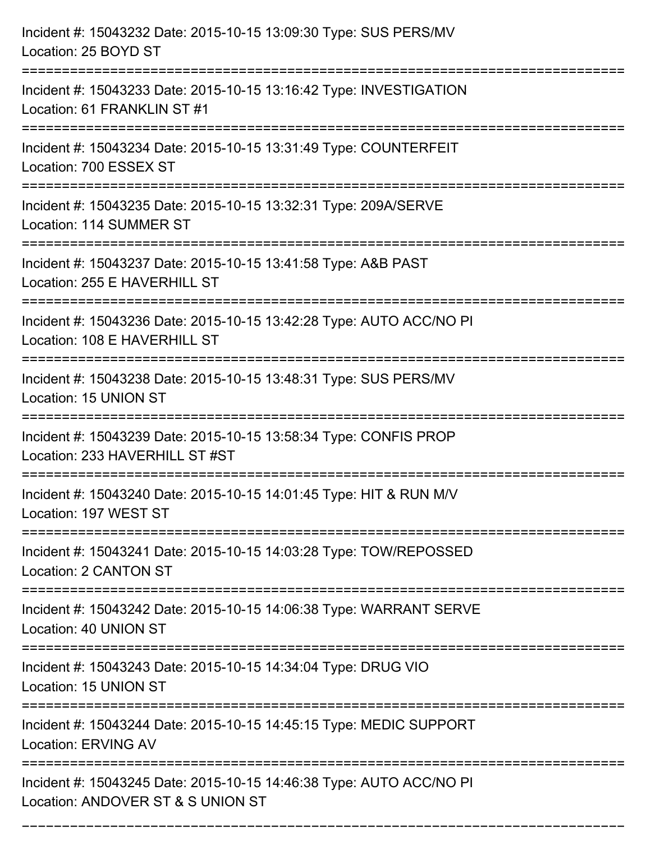| Incident #: 15043232 Date: 2015-10-15 13:09:30 Type: SUS PERS/MV<br>Location: 25 BOYD ST                                                     |
|----------------------------------------------------------------------------------------------------------------------------------------------|
| :=================================<br>Incident #: 15043233 Date: 2015-10-15 13:16:42 Type: INVESTIGATION<br>Location: 61 FRANKLIN ST #1      |
| Incident #: 15043234 Date: 2015-10-15 13:31:49 Type: COUNTERFEIT<br>Location: 700 ESSEX ST<br>================================               |
| Incident #: 15043235 Date: 2015-10-15 13:32:31 Type: 209A/SERVE<br>Location: 114 SUMMER ST                                                   |
| Incident #: 15043237 Date: 2015-10-15 13:41:58 Type: A&B PAST<br>Location: 255 E HAVERHILL ST                                                |
| Incident #: 15043236 Date: 2015-10-15 13:42:28 Type: AUTO ACC/NO PI<br>Location: 108 E HAVERHILL ST<br>:==================================== |
| Incident #: 15043238 Date: 2015-10-15 13:48:31 Type: SUS PERS/MV<br>Location: 15 UNION ST                                                    |
| Incident #: 15043239 Date: 2015-10-15 13:58:34 Type: CONFIS PROP<br>Location: 233 HAVERHILL ST #ST                                           |
| Incident #: 15043240 Date: 2015-10-15 14:01:45 Type: HIT & RUN M/V<br>Location: 197 WEST ST                                                  |
| Incident #: 15043241 Date: 2015-10-15 14:03:28 Type: TOW/REPOSSED<br>Location: 2 CANTON ST                                                   |
| Incident #: 15043242 Date: 2015-10-15 14:06:38 Type: WARRANT SERVE<br>Location: 40 UNION ST                                                  |
| Incident #: 15043243 Date: 2015-10-15 14:34:04 Type: DRUG VIO<br>Location: 15 UNION ST                                                       |
| Incident #: 15043244 Date: 2015-10-15 14:45:15 Type: MEDIC SUPPORT<br><b>Location: ERVING AV</b>                                             |
| Incident #: 15043245 Date: 2015-10-15 14:46:38 Type: AUTO ACC/NO PI<br>Location: ANDOVER ST & S UNION ST                                     |

===========================================================================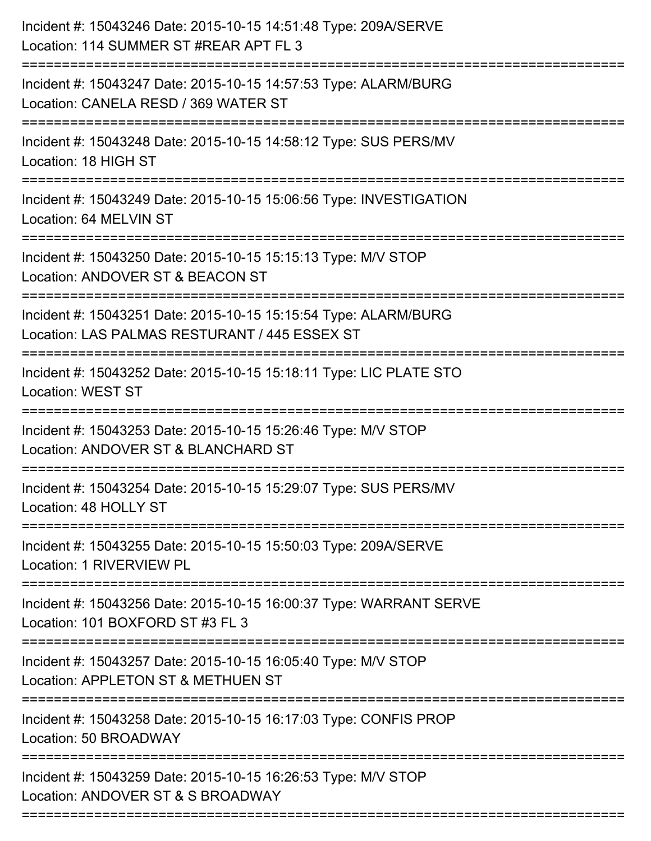| Incident #: 15043246 Date: 2015-10-15 14:51:48 Type: 209A/SERVE<br>Location: 114 SUMMER ST #REAR APT FL 3                                 |
|-------------------------------------------------------------------------------------------------------------------------------------------|
| .-----------------------------<br>Incident #: 15043247 Date: 2015-10-15 14:57:53 Type: ALARM/BURG<br>Location: CANELA RESD / 369 WATER ST |
| Incident #: 15043248 Date: 2015-10-15 14:58:12 Type: SUS PERS/MV<br>Location: 18 HIGH ST                                                  |
| Incident #: 15043249 Date: 2015-10-15 15:06:56 Type: INVESTIGATION<br>Location: 64 MELVIN ST                                              |
| Incident #: 15043250 Date: 2015-10-15 15:15:13 Type: M/V STOP<br>Location: ANDOVER ST & BEACON ST<br>=================                    |
| Incident #: 15043251 Date: 2015-10-15 15:15:54 Type: ALARM/BURG<br>Location: LAS PALMAS RESTURANT / 445 ESSEX ST                          |
| Incident #: 15043252 Date: 2015-10-15 15:18:11 Type: LIC PLATE STO<br>Location: WEST ST<br>=========================                      |
| Incident #: 15043253 Date: 2015-10-15 15:26:46 Type: M/V STOP<br>Location: ANDOVER ST & BLANCHARD ST                                      |
| Incident #: 15043254 Date: 2015-10-15 15:29:07 Type: SUS PERS/MV<br>Location: 48 HOLLY ST                                                 |
| Incident #: 15043255 Date: 2015-10-15 15:50:03 Type: 209A/SERVE<br>Location: 1 RIVERVIEW PL                                               |
| Incident #: 15043256 Date: 2015-10-15 16:00:37 Type: WARRANT SERVE<br>Location: 101 BOXFORD ST #3 FL 3                                    |
| Incident #: 15043257 Date: 2015-10-15 16:05:40 Type: M/V STOP<br>Location: APPLETON ST & METHUEN ST                                       |
| Incident #: 15043258 Date: 2015-10-15 16:17:03 Type: CONFIS PROP<br>Location: 50 BROADWAY                                                 |
| Incident #: 15043259 Date: 2015-10-15 16:26:53 Type: M/V STOP<br>Location: ANDOVER ST & S BROADWAY                                        |
|                                                                                                                                           |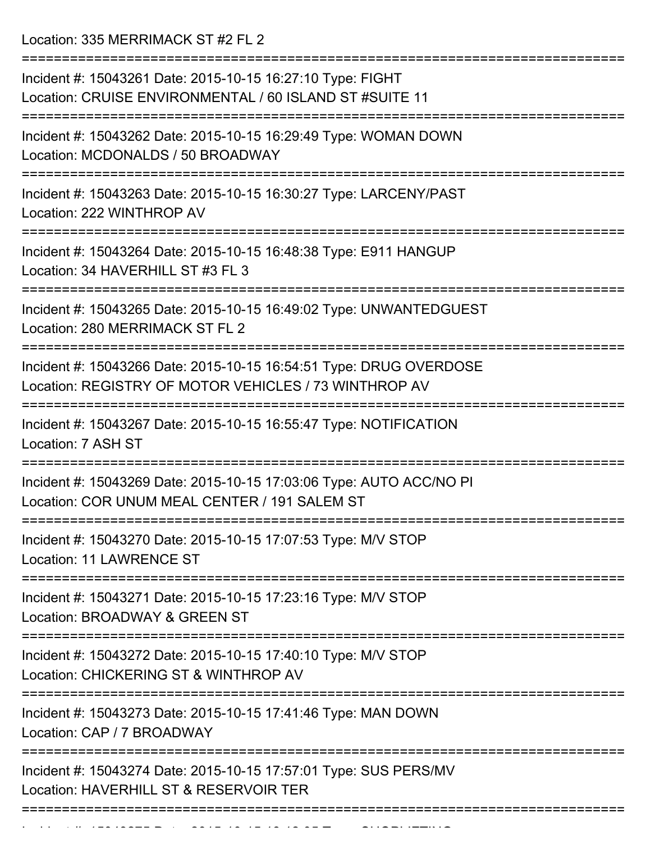Location: 335 MERRIMACK ST #2 FL 2

=========================================================================== Incident #: 15043261 Date: 2015-10-15 16:27:10 Type: FIGHT Location: CRUISE ENVIRONMENTAL / 60 ISLAND ST #SUITE 11 =========================================================================== Incident #: 15043262 Date: 2015-10-15 16:29:49 Type: WOMAN DOWN Location: MCDONALDS / 50 BROADWAY =========================================================================== Incident #: 15043263 Date: 2015-10-15 16:30:27 Type: LARCENY/PAST Location: 222 WINTHROP AV =========================================================================== Incident #: 15043264 Date: 2015-10-15 16:48:38 Type: E911 HANGUP Location: 34 HAVERHILL ST #3 FL 3 =========================================================================== Incident #: 15043265 Date: 2015-10-15 16:49:02 Type: UNWANTEDGUEST Location: 280 MERRIMACK ST FL 2 =========================================================================== Incident #: 15043266 Date: 2015-10-15 16:54:51 Type: DRUG OVERDOSE Location: REGISTRY OF MOTOR VEHICLES / 73 WINTHROP AV =========================================================================== Incident #: 15043267 Date: 2015-10-15 16:55:47 Type: NOTIFICATION Location: 7 ASH ST =========================================================================== Incident #: 15043269 Date: 2015-10-15 17:03:06 Type: AUTO ACC/NO PI Location: COR UNUM MEAL CENTER / 191 SALEM ST =========================================================================== Incident #: 15043270 Date: 2015-10-15 17:07:53 Type: M/V STOP Location: 11 LAWRENCE ST =========================================================================== Incident #: 15043271 Date: 2015-10-15 17:23:16 Type: M/V STOP Location: BROADWAY & GREEN ST =========================================================================== Incident #: 15043272 Date: 2015-10-15 17:40:10 Type: M/V STOP Location: CHICKERING ST & WINTHROP AV =========================================================================== Incident #: 15043273 Date: 2015-10-15 17:41:46 Type: MAN DOWN Location: CAP / 7 BROADWAY =========================================================================== Incident #: 15043274 Date: 2015-10-15 17:57:01 Type: SUS PERS/MV Location: HAVERHILL ST & RESERVOIR TER =========================================================================== Incident #: 15043275 Date: 2015 10 15 18:12:05 Type: SHOPLIFTING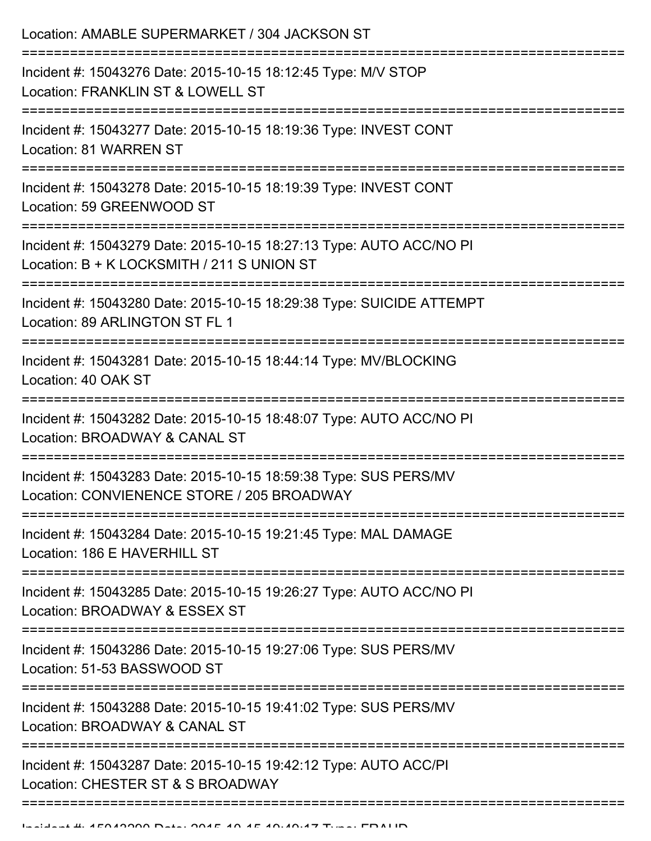| Location: AMABLE SUPERMARKET / 304 JACKSON ST<br>------------------------------                                                                                                |
|--------------------------------------------------------------------------------------------------------------------------------------------------------------------------------|
| Incident #: 15043276 Date: 2015-10-15 18:12:45 Type: M/V STOP<br>Location: FRANKLIN ST & LOWELL ST                                                                             |
| Incident #: 15043277 Date: 2015-10-15 18:19:36 Type: INVEST CONT<br>Location: 81 WARREN ST                                                                                     |
| Incident #: 15043278 Date: 2015-10-15 18:19:39 Type: INVEST CONT<br>Location: 59 GREENWOOD ST                                                                                  |
| Incident #: 15043279 Date: 2015-10-15 18:27:13 Type: AUTO ACC/NO PI<br>Location: B + K LOCKSMITH / 211 S UNION ST<br>=========================<br>============================ |
| Incident #: 15043280 Date: 2015-10-15 18:29:38 Type: SUICIDE ATTEMPT<br>Location: 89 ARLINGTON ST FL 1                                                                         |
| Incident #: 15043281 Date: 2015-10-15 18:44:14 Type: MV/BLOCKING<br>Location: 40 OAK ST                                                                                        |
| Incident #: 15043282 Date: 2015-10-15 18:48:07 Type: AUTO ACC/NO PI<br>Location: BROADWAY & CANAL ST                                                                           |
| Incident #: 15043283 Date: 2015-10-15 18:59:38 Type: SUS PERS/MV<br>Location: CONVIENENCE STORE / 205 BROADWAY                                                                 |
| Incident #: 15043284 Date: 2015-10-15 19:21:45 Type: MAL DAMAGE<br>Location: 186 E HAVERHILL ST                                                                                |
| Incident #: 15043285 Date: 2015-10-15 19:26:27 Type: AUTO ACC/NO PI<br>Location: BROADWAY & ESSEX ST                                                                           |
| Incident #: 15043286 Date: 2015-10-15 19:27:06 Type: SUS PERS/MV<br>Location: 51-53 BASSWOOD ST                                                                                |
| Incident #: 15043288 Date: 2015-10-15 19:41:02 Type: SUS PERS/MV<br>Location: BROADWAY & CANAL ST                                                                              |
| Incident #: 15043287 Date: 2015-10-15 19:42:12 Type: AUTO ACC/PI<br>Location: CHESTER ST & S BROADWAY                                                                          |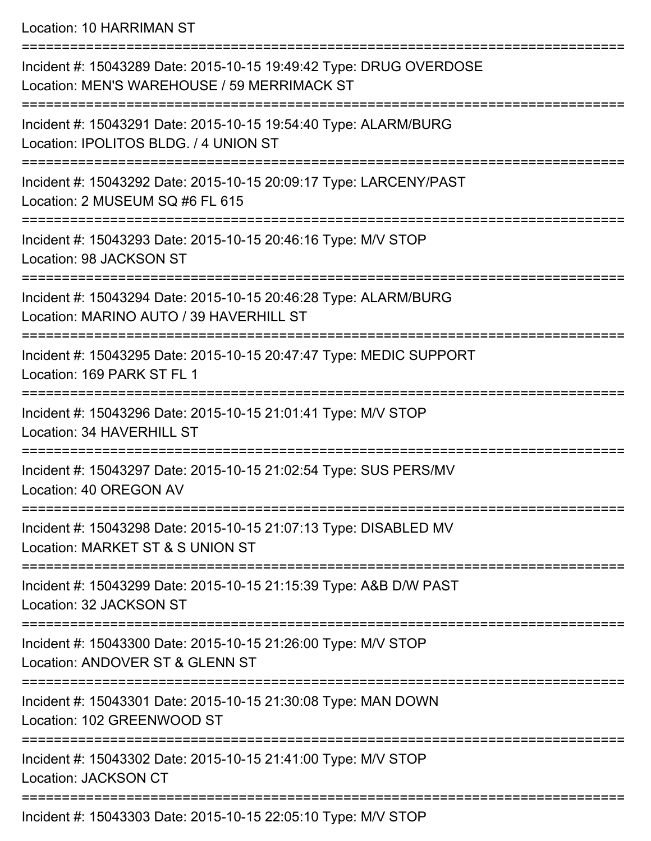Location: 10 HARRIMAN ST

| Incident #: 15043289 Date: 2015-10-15 19:49:42 Type: DRUG OVERDOSE<br>Location: MEN'S WAREHOUSE / 59 MERRIMACK ST |
|-------------------------------------------------------------------------------------------------------------------|
| Incident #: 15043291 Date: 2015-10-15 19:54:40 Type: ALARM/BURG<br>Location: IPOLITOS BLDG. / 4 UNION ST          |
| Incident #: 15043292 Date: 2015-10-15 20:09:17 Type: LARCENY/PAST<br>Location: 2 MUSEUM SQ #6 FL 615              |
| Incident #: 15043293 Date: 2015-10-15 20:46:16 Type: M/V STOP<br>Location: 98 JACKSON ST                          |
| Incident #: 15043294 Date: 2015-10-15 20:46:28 Type: ALARM/BURG<br>Location: MARINO AUTO / 39 HAVERHILL ST        |
| Incident #: 15043295 Date: 2015-10-15 20:47:47 Type: MEDIC SUPPORT<br>Location: 169 PARK ST FL 1                  |
| Incident #: 15043296 Date: 2015-10-15 21:01:41 Type: M/V STOP<br>Location: 34 HAVERHILL ST                        |
| Incident #: 15043297 Date: 2015-10-15 21:02:54 Type: SUS PERS/MV<br>Location: 40 OREGON AV                        |
| Incident #: 15043298 Date: 2015-10-15 21:07:13 Type: DISABLED MV<br>Location: MARKET ST & S UNION ST              |
| Incident #: 15043299 Date: 2015-10-15 21:15:39 Type: A&B D/W PAST<br>Location: 32 JACKSON ST                      |
| Incident #: 15043300 Date: 2015-10-15 21:26:00 Type: M/V STOP<br>Location: ANDOVER ST & GLENN ST                  |
| Incident #: 15043301 Date: 2015-10-15 21:30:08 Type: MAN DOWN<br>Location: 102 GREENWOOD ST                       |
| Incident #: 15043302 Date: 2015-10-15 21:41:00 Type: M/V STOP<br><b>Location: JACKSON CT</b>                      |
| Incident #: 15043303 Date: 2015-10-15 22:05:10 Type: M/V STOP                                                     |